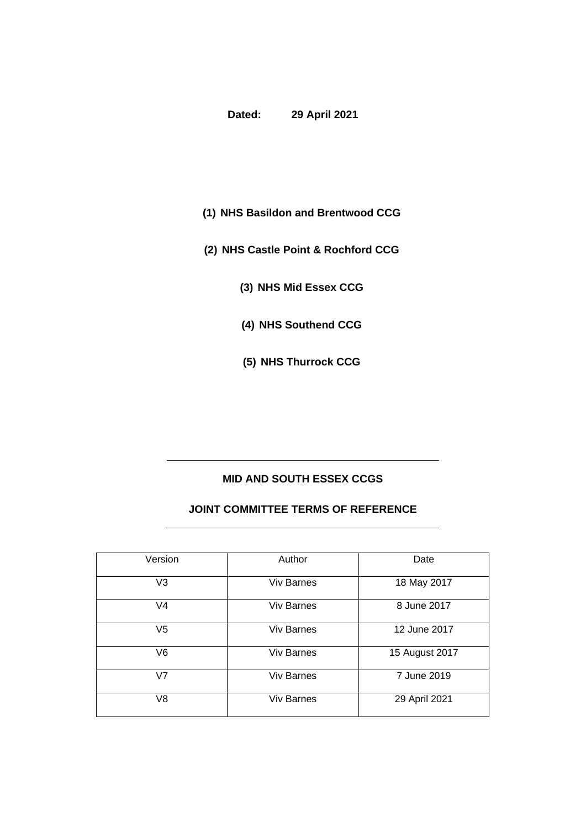## **Dated: 29 April 2021**

- 
- **(1) NHS Basildon and Brentwood CCG**
- **(2) NHS Castle Point & Rochford CCG**
	- **(3) NHS Mid Essex CCG**
	- **(4) NHS Southend CCG**
	- **(5) NHS Thurrock CCG**

# **MID AND SOUTH ESSEX CCGS**

#### **JOINT COMMITTEE TERMS OF REFERENCE**

| Version        | Author            | Date           |
|----------------|-------------------|----------------|
| V <sub>3</sub> | <b>Viv Barnes</b> | 18 May 2017    |
| V <sub>4</sub> | <b>Viv Barnes</b> | 8 June 2017    |
| V <sub>5</sub> | <b>Viv Barnes</b> | 12 June 2017   |
| V6             | <b>Viv Barnes</b> | 15 August 2017 |
| V <sub>7</sub> | <b>Viv Barnes</b> | 7 June 2019    |
| V <sub>8</sub> | <b>Viv Barnes</b> | 29 April 2021  |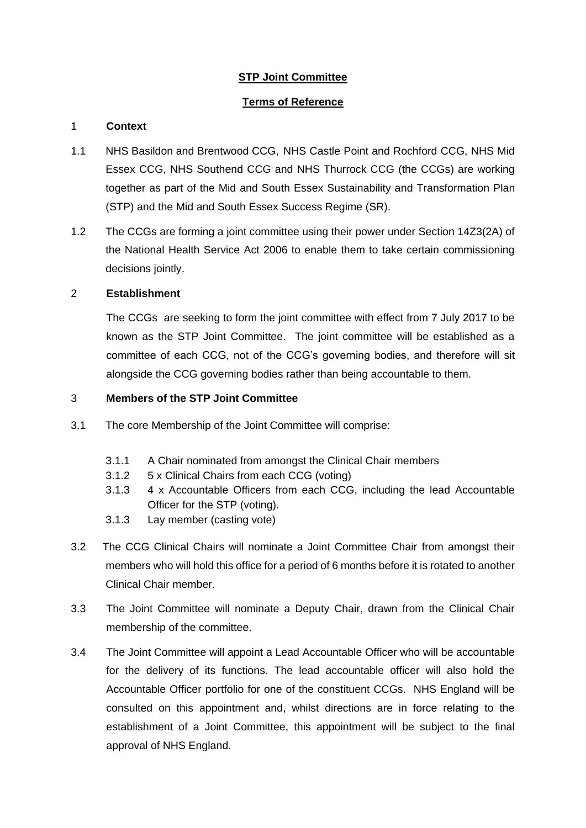# **STP Joint Committee**

# **Terms of Reference**

## 1 **Context**

- 1.1 NHS Basildon and Brentwood CCG, NHS Castle Point and Rochford CCG, NHS Mid Essex CCG, NHS Southend CCG and NHS Thurrock CCG (the CCGs) are working together as part of the Mid and South Essex Sustainability and Transformation Plan (STP) and the Mid and South Essex Success Regime (SR).
- 1.2 The CCGs are forming a joint committee using their power under Section 14Z3(2A) of the National Health Service Act 2006 to enable them to take certain commissioning decisions jointly.

## 2 **Establishment**

The CCGs are seeking to form the joint committee with effect from 7 July 2017 to be known as the STP Joint Committee. The joint committee will be established as a committee of each CCG, not of the CCG's governing bodies, and therefore will sit alongside the CCG governing bodies rather than being accountable to them.

## 3 **Members of the STP Joint Committee**

- 3.1 The core Membership of the Joint Committee will comprise:
	- 3.1.1 A Chair nominated from amongst the Clinical Chair members
	- 3.1.2 5 x Clinical Chairs from each CCG (voting)
	- 3.1.3 4 x Accountable Officers from each CCG, including the lead Accountable Officer for the STP (voting).
	- 3.1.3 Lay member (casting vote)
- 3.2 The CCG Clinical Chairs will nominate a Joint Committee Chair from amongst their members who will hold this office for a period of 6 months before it is rotated to another Clinical Chair member.
- 3.3 The Joint Committee will nominate a Deputy Chair, drawn from the Clinical Chair membership of the committee.
- 3.4 The Joint Committee will appoint a Lead Accountable Officer who will be accountable for the delivery of its functions. The lead accountable officer will also hold the Accountable Officer portfolio for one of the constituent CCGs. NHS England will be consulted on this appointment and, whilst directions are in force relating to the establishment of a Joint Committee, this appointment will be subject to the final approval of NHS England.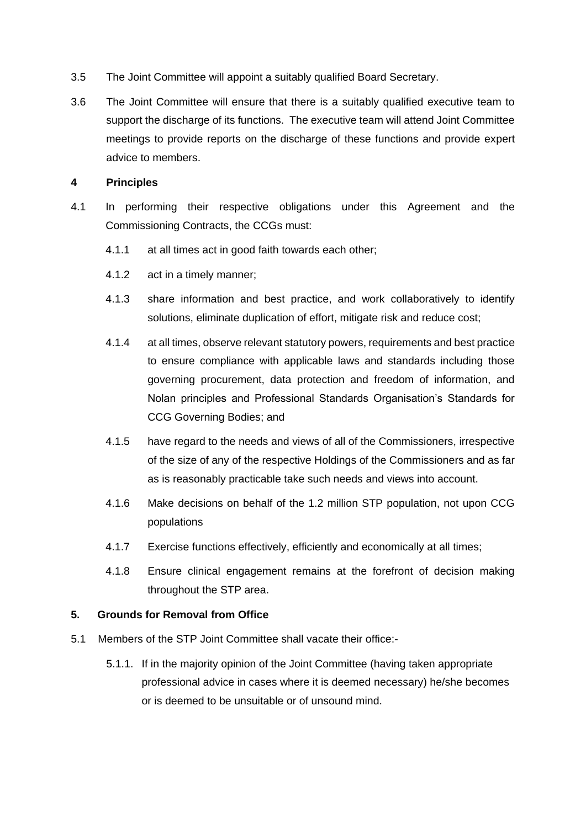- 3.5 The Joint Committee will appoint a suitably qualified Board Secretary.
- 3.6 The Joint Committee will ensure that there is a suitably qualified executive team to support the discharge of its functions. The executive team will attend Joint Committee meetings to provide reports on the discharge of these functions and provide expert advice to members.

#### **4 Principles**

- 4.1 In performing their respective obligations under this Agreement and the Commissioning Contracts, the CCGs must:
	- 4.1.1 at all times act in good faith towards each other;
	- 4.1.2 act in a timely manner;
	- 4.1.3 share information and best practice, and work collaboratively to identify solutions, eliminate duplication of effort, mitigate risk and reduce cost;
	- 4.1.4 at all times, observe relevant statutory powers, requirements and best practice to ensure compliance with applicable laws and standards including those governing procurement, data protection and freedom of information, and Nolan principles and Professional Standards Organisation's Standards for CCG Governing Bodies; and
	- 4.1.5 have regard to the needs and views of all of the Commissioners, irrespective of the size of any of the respective Holdings of the Commissioners and as far as is reasonably practicable take such needs and views into account.
	- 4.1.6 Make decisions on behalf of the 1.2 million STP population, not upon CCG populations
	- 4.1.7 Exercise functions effectively, efficiently and economically at all times;
	- 4.1.8 Ensure clinical engagement remains at the forefront of decision making throughout the STP area.

#### **5. Grounds for Removal from Office**

- 5.1 Members of the STP Joint Committee shall vacate their office:-
	- 5.1.1. If in the majority opinion of the Joint Committee (having taken appropriate professional advice in cases where it is deemed necessary) he/she becomes or is deemed to be unsuitable or of unsound mind.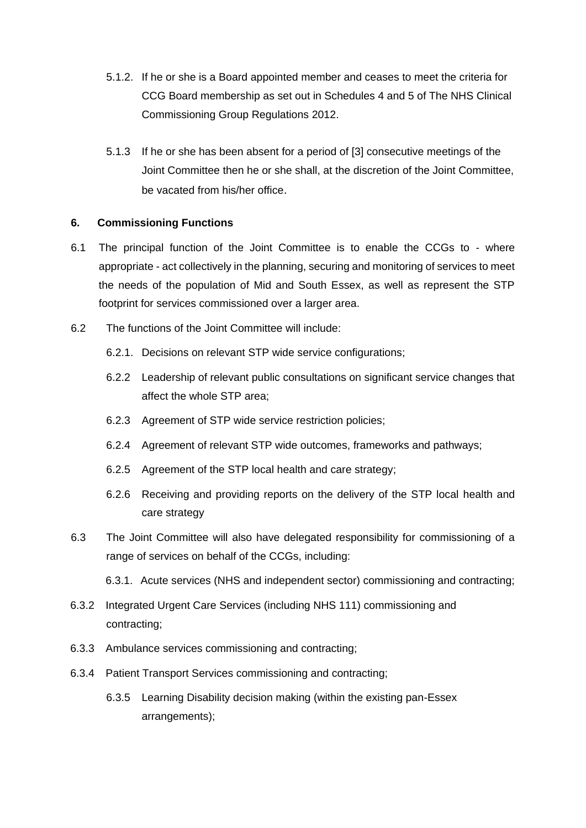- 5.1.2. If he or she is a Board appointed member and ceases to meet the criteria for CCG Board membership as set out in Schedules 4 and 5 of The NHS Clinical Commissioning Group Regulations 2012.
- 5.1.3 If he or she has been absent for a period of [3] consecutive meetings of the Joint Committee then he or she shall, at the discretion of the Joint Committee, be vacated from his/her office.

# **6. Commissioning Functions**

- 6.1 The principal function of the Joint Committee is to enable the CCGs to where appropriate - act collectively in the planning, securing and monitoring of services to meet the needs of the population of Mid and South Essex, as well as represent the STP footprint for services commissioned over a larger area.
- 6.2 The functions of the Joint Committee will include:
	- 6.2.1. Decisions on relevant STP wide service configurations;
	- 6.2.2 Leadership of relevant public consultations on significant service changes that affect the whole STP area;
	- 6.2.3 Agreement of STP wide service restriction policies;
	- 6.2.4 Agreement of relevant STP wide outcomes, frameworks and pathways;
	- 6.2.5 Agreement of the STP local health and care strategy;
	- 6.2.6 Receiving and providing reports on the delivery of the STP local health and care strategy
- 6.3 The Joint Committee will also have delegated responsibility for commissioning of a range of services on behalf of the CCGs, including:
	- 6.3.1. Acute services (NHS and independent sector) commissioning and contracting;
- 6.3.2 Integrated Urgent Care Services (including NHS 111) commissioning and contracting;
- 6.3.3 Ambulance services commissioning and contracting;
- 6.3.4 Patient Transport Services commissioning and contracting;
	- 6.3.5 Learning Disability decision making (within the existing pan-Essex arrangements);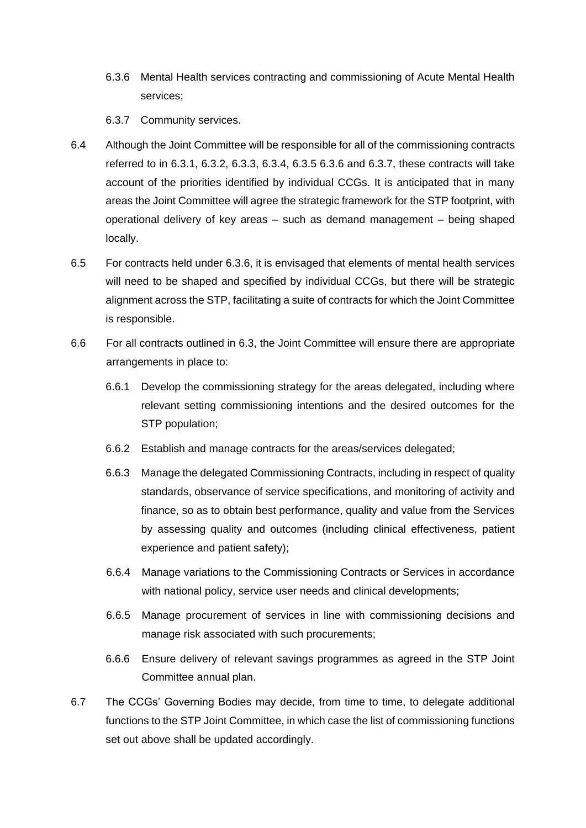- 6.3.6 Mental Health services contracting and commissioning of Acute Mental Health services;
- 6.3.7 Community services.
- 6.4 Although the Joint Committee will be responsible for all of the commissioning contracts referred to in 6.3.1, 6.3.2, 6.3.3, 6.3.4, 6.3.5 6.3.6 and 6.3.7, these contracts will take account of the priorities identified by individual CCGs. It is anticipated that in many areas the Joint Committee will agree the strategic framework for the STP footprint, with operational delivery of key areas – such as demand management – being shaped locally.
- 6.5 For contracts held under 6.3.6, it is envisaged that elements of mental health services will need to be shaped and specified by individual CCGs, but there will be strategic alignment across the STP, facilitating a suite of contracts for which the Joint Committee is responsible.
- 6.6 For all contracts outlined in 6.3, the Joint Committee will ensure there are appropriate arrangements in place to:
	- 6.6.1 Develop the commissioning strategy for the areas delegated, including where relevant setting commissioning intentions and the desired outcomes for the STP population;
	- 6.6.2 Establish and manage contracts for the areas/services delegated;
	- 6.6.3 Manage the delegated Commissioning Contracts, including in respect of quality standards, observance of service specifications, and monitoring of activity and finance, so as to obtain best performance, quality and value from the Services by assessing quality and outcomes (including clinical effectiveness, patient experience and patient safety);
	- 6.6.4 Manage variations to the Commissioning Contracts or Services in accordance with national policy, service user needs and clinical developments;
	- 6.6.5 Manage procurement of services in line with commissioning decisions and manage risk associated with such procurements;
	- 6.6.6 Ensure delivery of relevant savings programmes as agreed in the STP Joint Committee annual plan.
- 6.7 The CCGs' Governing Bodies may decide, from time to time, to delegate additional functions to the STP Joint Committee, in which case the list of commissioning functions set out above shall be updated accordingly.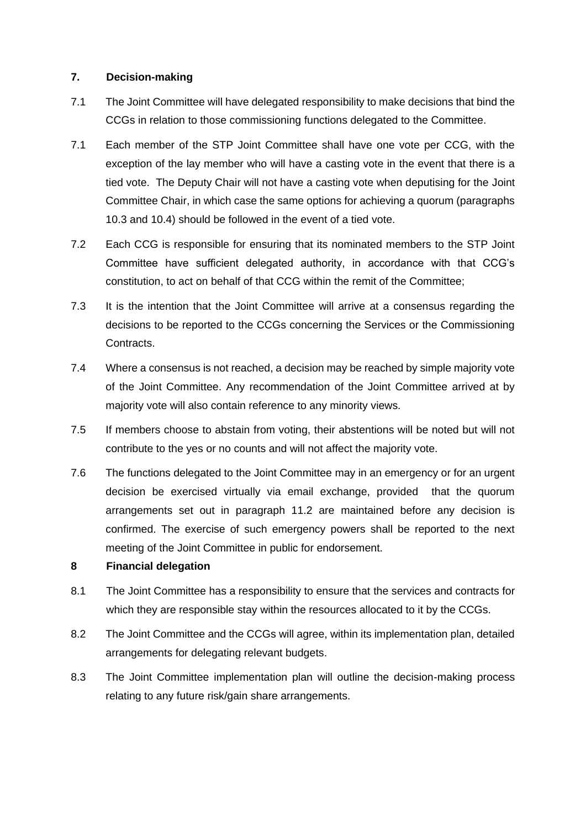#### **7. Decision-making**

- 7.1 The Joint Committee will have delegated responsibility to make decisions that bind the CCGs in relation to those commissioning functions delegated to the Committee.
- 7.1 Each member of the STP Joint Committee shall have one vote per CCG, with the exception of the lay member who will have a casting vote in the event that there is a tied vote. The Deputy Chair will not have a casting vote when deputising for the Joint Committee Chair, in which case the same options for achieving a quorum (paragraphs 10.3 and 10.4) should be followed in the event of a tied vote.
- 7.2 Each CCG is responsible for ensuring that its nominated members to the STP Joint Committee have sufficient delegated authority, in accordance with that CCG's constitution, to act on behalf of that CCG within the remit of the Committee;
- 7.3 It is the intention that the Joint Committee will arrive at a consensus regarding the decisions to be reported to the CCGs concerning the Services or the Commissioning Contracts.
- 7.4 Where a consensus is not reached, a decision may be reached by simple majority vote of the Joint Committee. Any recommendation of the Joint Committee arrived at by majority vote will also contain reference to any minority views*.*
- 7.5 If members choose to abstain from voting, their abstentions will be noted but will not contribute to the yes or no counts and will not affect the majority vote.
- 7.6 The functions delegated to the Joint Committee may in an emergency or for an urgent decision be exercised virtually via email exchange, provided that the quorum arrangements set out in paragraph 11.2 are maintained before any decision is confirmed. The exercise of such emergency powers shall be reported to the next meeting of the Joint Committee in public for endorsement.

#### **8 Financial delegation**

- 8.1 The Joint Committee has a responsibility to ensure that the services and contracts for which they are responsible stay within the resources allocated to it by the CCGs.
- 8.2 The Joint Committee and the CCGs will agree, within its implementation plan, detailed arrangements for delegating relevant budgets.
- 8.3 The Joint Committee implementation plan will outline the decision-making process relating to any future risk/gain share arrangements.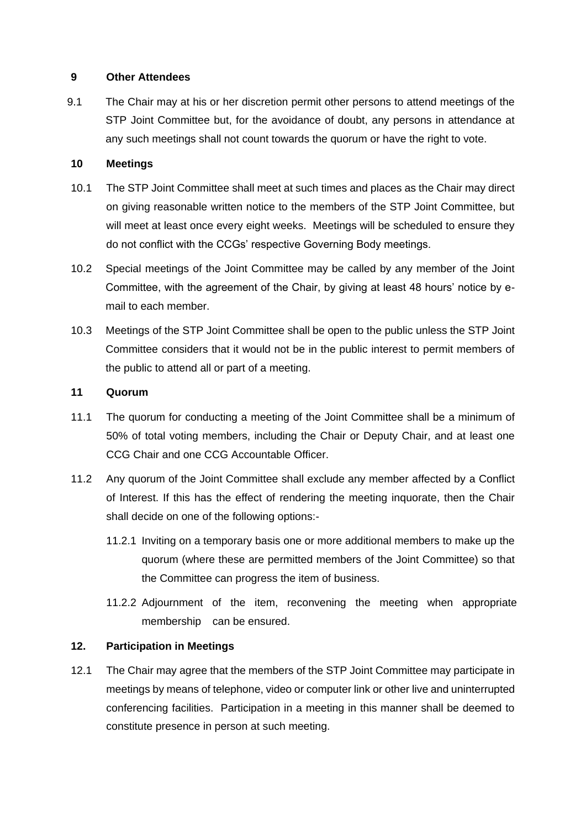#### **9 Other Attendees**

9.1 The Chair may at his or her discretion permit other persons to attend meetings of the STP Joint Committee but, for the avoidance of doubt, any persons in attendance at any such meetings shall not count towards the quorum or have the right to vote.

#### **10 Meetings**

- 10.1 The STP Joint Committee shall meet at such times and places as the Chair may direct on giving reasonable written notice to the members of the STP Joint Committee, but will meet at least once every eight weeks. Meetings will be scheduled to ensure they do not conflict with the CCGs' respective Governing Body meetings.
- 10.2 Special meetings of the Joint Committee may be called by any member of the Joint Committee, with the agreement of the Chair, by giving at least 48 hours' notice by email to each member.
- 10.3 Meetings of the STP Joint Committee shall be open to the public unless the STP Joint Committee considers that it would not be in the public interest to permit members of the public to attend all or part of a meeting.

#### **11 Quorum**

- 11.1 The quorum for conducting a meeting of the Joint Committee shall be a minimum of 50% of total voting members, including the Chair or Deputy Chair, and at least one CCG Chair and one CCG Accountable Officer.
- 11.2 Any quorum of the Joint Committee shall exclude any member affected by a Conflict of Interest. If this has the effect of rendering the meeting inquorate, then the Chair shall decide on one of the following options:-
	- 11.2.1 Inviting on a temporary basis one or more additional members to make up the quorum (where these are permitted members of the Joint Committee) so that the Committee can progress the item of business.
	- 11.2.2 Adjournment of the item, reconvening the meeting when appropriate membership can be ensured.

#### **12. Participation in Meetings**

12.1 The Chair may agree that the members of the STP Joint Committee may participate in meetings by means of telephone, video or computer link or other live and uninterrupted conferencing facilities. Participation in a meeting in this manner shall be deemed to constitute presence in person at such meeting.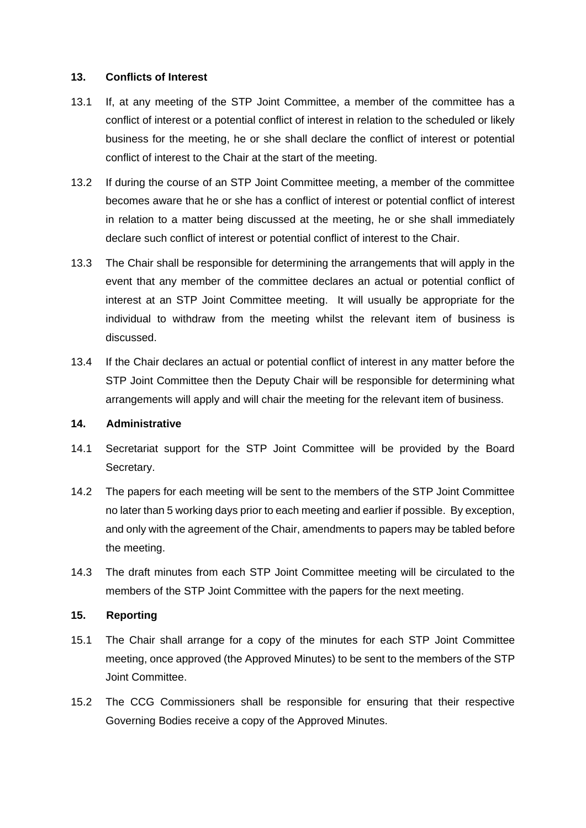#### **13. Conflicts of Interest**

- 13.1 If, at any meeting of the STP Joint Committee, a member of the committee has a conflict of interest or a potential conflict of interest in relation to the scheduled or likely business for the meeting, he or she shall declare the conflict of interest or potential conflict of interest to the Chair at the start of the meeting.
- 13.2 If during the course of an STP Joint Committee meeting, a member of the committee becomes aware that he or she has a conflict of interest or potential conflict of interest in relation to a matter being discussed at the meeting, he or she shall immediately declare such conflict of interest or potential conflict of interest to the Chair.
- 13.3 The Chair shall be responsible for determining the arrangements that will apply in the event that any member of the committee declares an actual or potential conflict of interest at an STP Joint Committee meeting. It will usually be appropriate for the individual to withdraw from the meeting whilst the relevant item of business is discussed.
- 13.4 If the Chair declares an actual or potential conflict of interest in any matter before the STP Joint Committee then the Deputy Chair will be responsible for determining what arrangements will apply and will chair the meeting for the relevant item of business.

#### **14. Administrative**

- 14.1 Secretariat support for the STP Joint Committee will be provided by the Board Secretary.
- 14.2 The papers for each meeting will be sent to the members of the STP Joint Committee no later than 5 working days prior to each meeting and earlier if possible. By exception, and only with the agreement of the Chair, amendments to papers may be tabled before the meeting.
- 14.3 The draft minutes from each STP Joint Committee meeting will be circulated to the members of the STP Joint Committee with the papers for the next meeting.

#### **15. Reporting**

- 15.1 The Chair shall arrange for a copy of the minutes for each STP Joint Committee meeting, once approved (the Approved Minutes) to be sent to the members of the STP Joint Committee.
- 15.2 The CCG Commissioners shall be responsible for ensuring that their respective Governing Bodies receive a copy of the Approved Minutes.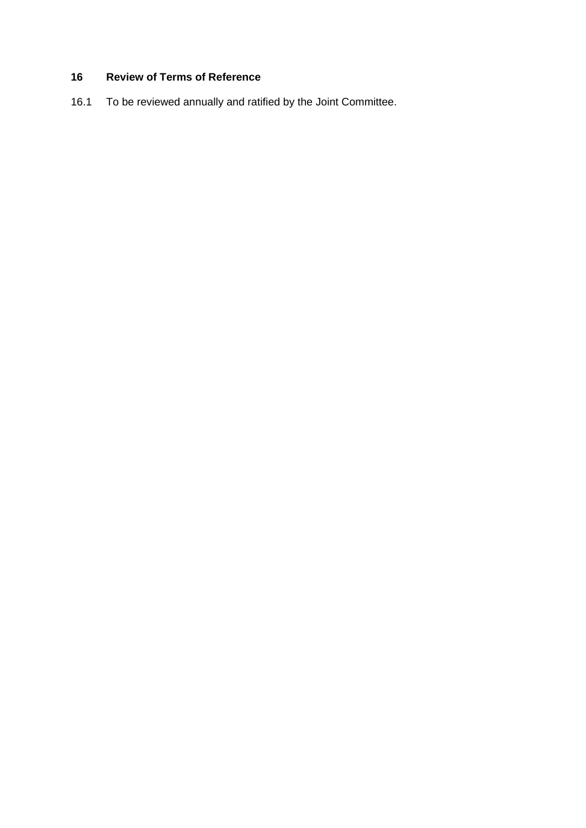# **16 Review of Terms of Reference**

16.1 To be reviewed annually and ratified by the Joint Committee.